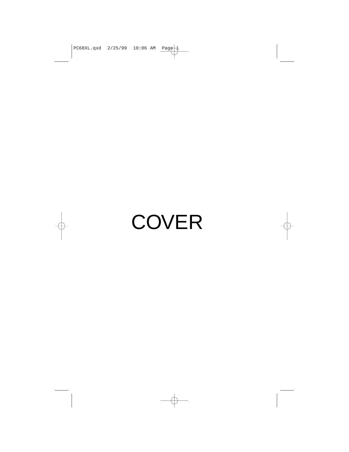$PCG8XL.qxd$  2/25/99 10:06 AM Page 1

# **COVER**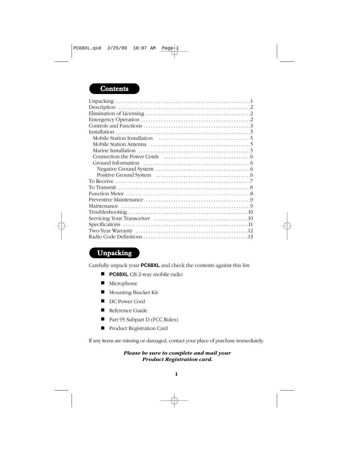# **Contents**

# Unpacking

Carefully unpack your **PC68XL** and check the contents against this list:

- **PC68XL** CB 2-way mobile radio
- Microphone
- Mounting Bracket Kit
- DC Power Cord
- Reference Guide
- Part 95 Subpart D (FCC Rules)
- Product Registration Card

If any items are missing or damaged, contact your place of purchase immediately.

#### *Please be sure to complete and mail your Product Registration card.*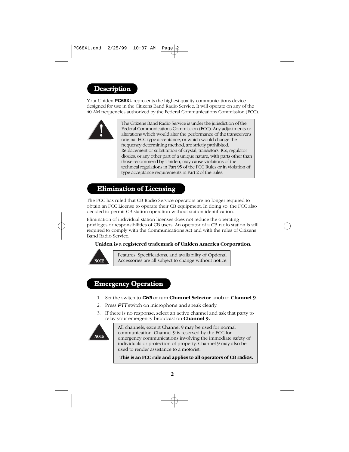# Description

Your Uniden **PC68XL** represents the highest quality communications device designed for use in the Citizens Band Radio Service. It will operate on any of the 40 AM frequencies authorized by the Federal Communications Commission (FCC).



The Citizens Band Radio Service is under the jurisdiction of the Federal Communications Commission (FCC). Any adjustments or alterations which would alter the performance of the transceiver's original FCC type acceptance, or which would change the frequency determining method, are strictly prohibited. Replacement or substitution of crystal, transistors, ICs, regulator diodes, or any other part of a unique nature, with parts other than those recommend by Uniden, may cause violations of the technical regulations in Part 95 of the FCC Rules or in violation of type acceptance requirements in Part 2 of the rules.

# Elimination of Licensing

The FCC has ruled that CB Radio Service operators are no longer required to obtain an FCC License to operate their CB equipment. In doing so, the FCC also decided to permit CB station operation without station identification.

Elimination of individual station licenses does not reduce the operating privileges or responsibilities of CB users. An operator of a CB radio station is still required to comply with the Communications Act and with the rules of Citizens Band Radio Service.

#### **Uniden is a registered trademark of Uniden America Corporation.**



Features, Specifications, and availability of Optional Accessories are all subject to change without notice.

## Emergency Operation

- 1. Set the switch to **CH9** or turn **Channel Selector** knob to **Channel 9**.
- 2. Press **PTT** switch on microphone and speak clearly.
- 3. If there is no response, select an active channel and ask that party to relay your emergency broadcast on **Channel 9.**



All channels, except Channel 9 may be used for normal communication. Channel 9 is reserved by the FCC for emergency communications involving the immediate safety of individuals or protection of property. Channel 9 may also be used to render assistance to a motorist.

**This is an FCC rule and applies to all operators of CB radios.**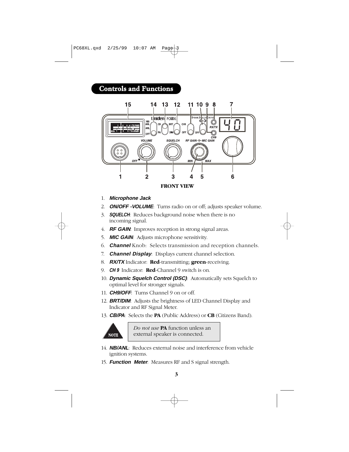# Controls and Functions



# 1. **Microphone Jack**

- 2. **ON/OFF -VOLUME**: Turns radio on or off; adjusts speaker volume.
- 3. **SQUELCH**: Reduces background noise when there is no incoming signal.
- 4. **RF GAIN**: Improves reception in strong signal areas.
- 5. **MIC GAIN**: Adjusts microphone sensitivity.
- 6. **Channel** Knob: Selects transmission and reception channels.
- 7. **Channel Display**: Displays current channel selection.
- 8. **RX/TX** Indicator: **Red**-transmitting; **green**-receiving.
- 9. **CH 9** Indicator: **Red**-Channel 9 switch is on.
- 10. **Dynamic Squelch Control (DSC)**: Automatically sets Squelch to optimal level for stronger signals.
- 11. **CH9/OFF**: Turns Channel 9 on or off.
- 12. **BRT/DIM**: Adjusts the brightness of LED Channel Display and Indicator and RF Signal Meter.
- 13. **CB/PA**: Selects the **PA** (Public Address) or **CB** (Citizens Band).



*Do not use* **PA** function unless an external speaker is connected.

- 14. **NB/ANL**: Reduces external noise and interference from vehicle ignition systems.
- 15. **Function Meter**: Measures RF and S signal strength.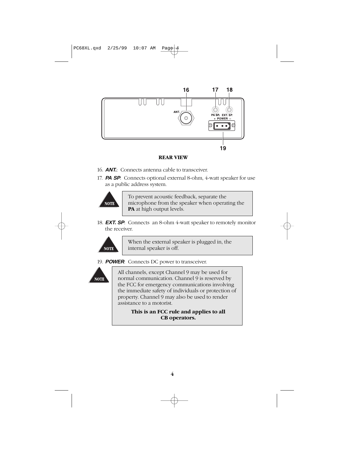PC68XL.qxd 2/25/99 10:07 AM Page



#### **REAR VIEW**

- 16. **ANT.**: Connects antenna cable to transceiver.
- 17. **PA SP**: Connects optional external 8-ohm, 4-watt speaker for use as a public address system.



To prevent acoustic feedback, separate the microphone from the speaker when operating the **PA** at high output levels.

18. **EXT. SP**: Connects an 8-ohm 4-watt speaker to remotely monitor the receiver.



When the external speaker is plugged in, the internal speaker is off.

19. **POWER**: Connects DC power to transceiver.



All channels, except Channel 9 may be used for normal communication. Channel 9 is reserved by the FCC for emergency communications involving the immediate safety of individuals or protection of property. Channel 9 may also be used to render assistance to a motorist.

> **This is an FCC rule and applies to all CB operators.**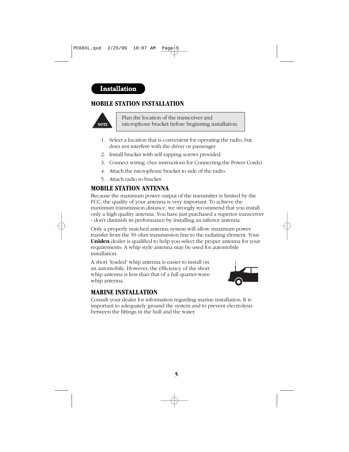# Installation

# **MOBILE STATION INSTALLATION**



Plan the location of the transceiver and microphone bracket before beginning installation.

- 1. Select a location that is convenient for operating the radio, but does not interfere with the driver or passenger.
- 2. Install bracket with self-tapping screws provided.
- 3. Connect wiring. (See instructions for Connecting the Power Cords).
- 4. Attach the microphone bracket to side of the radio.
- 5. Attach radio to bracket.

#### **MOBILE STATION ANTENNA**

Because the maximum power output of the transmitter is limited by the FCC, the quality of your antenna is very important. To achieve the maximum transmission distance, we strongly recommend that you install only a high quality antenna. You have just purchased a superior transceiver - don't diminish its performance by installing an inferior antenna.

Only a properly matched antenna system will allow maximum power transfer from the 50 ohm transmission line to the radiating element. Your **Uniden** dealer is qualified to help you select the proper antenna for your requirements. A whip style antenna may be used for automobile installation.

A short 'loaded' whip antenna is easier to install on an automobile. However, the efficiency of the short whip antenna is less than that of a full quarter-wave whip antenna.



#### **MARINE INSTALLATION**

Consult your dealer for information regarding marine installation. It is important to adequately ground the system and to prevent electrolysis between the fittings in the hull and the water.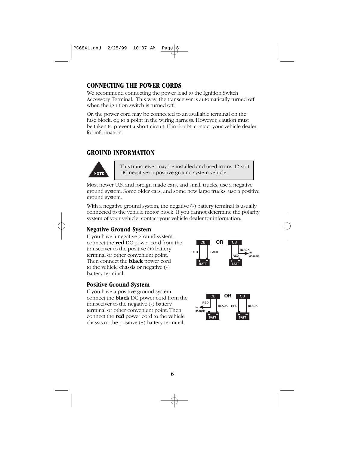# **CONNECTING THE POWER CORDS**

We recommend connecting the power lead to the Ignition Switch Accessory Terminal. This way, the transceiver is automatically turned off when the ignition switch is turned off.

Or, the power cord may be connected to an available terminal on the fuse block, or, to a point in the wiring harness. However, caution must be taken to prevent a short circuit. If in doubt, contact your vehicle dealer for information.

## **GROUND INFORMATION**



This transceiver may be installed and used in any 12-volt DC negative or positive ground system vehicle.

Most newer U.S. and foreign made cars, and small trucks, use a negative ground system. Some older cars, and some new large trucks, use a positive ground system.

With a negative ground system, the negative  $\left(\text{-}\right)$  battery terminal is usually connected to the vehicle motor block. If you cannot determine the polarity system of your vehicle, contact your vehicle dealer for information.

# **Negative Ground System**

If you have a negative ground system, connect the **red** DC power cord from the transceiver to the positive (+) battery terminal or other convenient point. Then connect the **black** power cord to the vehicle chassis or negative (-) battery terminal.

#### **Positive Ground System**

If you have a positive ground system, connect the **black** DC power cord from the transceiver to the negative (-) battery terminal or other convenient point. Then, connect the **red** power cord to the vehicle chassis or the positive (+) battery terminal.





**6**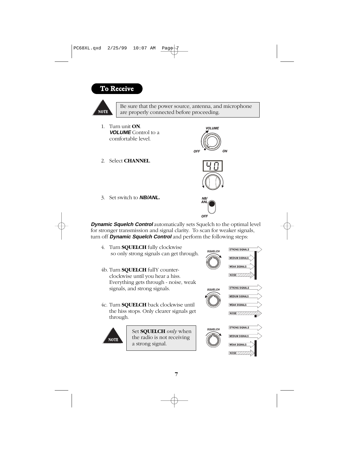# To Receive





Set **SQUELCH** *only* when the radio is not receiving a strong signal.

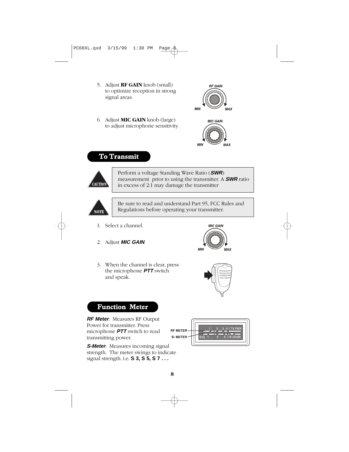- 5. Adjust **RF GAIN** knob (small) to optimize reception in strong signal areas.
- 6. Adjust **MIC GAIN** knob (large) to adjust microphone sensitivity.





# To Transmit



Perform a voltage Standing Wave Ratio (**SWR**) measurement prior to using the transmitter. A **SWR** ratio in excess of 2:1 may damage the transmitter



Be sure to read and understand Part 95, FCC Rules and Regulations before operating your transmitter.

- 1. Select a channel.
- 2. Adjust **MIC GAIN**.



3. When the channel is clear, press the microphone **PTT** switch and speak.



# Function Meter

**RF Meter**: Measures RF Output Power for transmitter. Press microphone **PTT** switch to read transmitting power.

**S-Meter**: Measures incoming signal strength. The meter swings to indicate signal strength. i.e. **S 3, S 5, S 7 . . .**

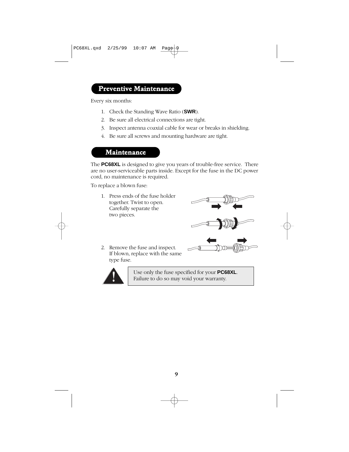# Preventive Maintenance

Every six months:

- 1. Check the Standing Wave Ratio (**SWR**).
- 2. Be sure all electrical connections are tight.
- 3. Inspect antenna coaxial cable for wear or breaks in shielding.
- 4. Be sure all screws and mounting hardware are tight.

## Maintenance

The **PC68XL** is designed to give you years of trouble-free service. There are no user-serviceable parts inside. Except for the fuse in the DC power cord, no maintenance is required.

To replace a blown fuse:

1. Press ends of the fuse holder together. Twist to open. Carefully separate the two pieces.



2. Remove the fuse and inspect. If blown, replace with the same type fuse.



Use only the fuse specified for your **PC68XL**. Failure to do so may void your warranty.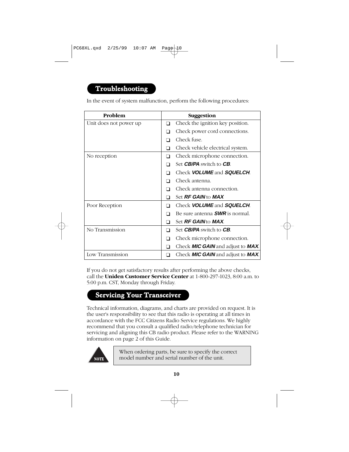# Troubleshooting

In the event of system malfunction, perform the following procedures:

| Problem                |   | Suggestion                                       |
|------------------------|---|--------------------------------------------------|
| Unit does not power up | ∩ | Check the ignition key position.                 |
|                        | □ | Check power cord connections.                    |
|                        |   | Check fuse.                                      |
|                        | ∩ | Check vehicle electrical system.                 |
| No reception           | ∩ | Check microphone connection.                     |
|                        |   | Set <b>CB/PA</b> switch to <b>CB</b> .           |
|                        |   | Check <b>VOLUME</b> and <b>SQUELCH</b> .         |
|                        |   | Check antenna.                                   |
|                        |   | Check antenna connection.                        |
|                        | ⊓ | Set <b>RF GAIN</b> to <b>MAX</b>                 |
| Poor Reception         |   | Check <b>VOLUME</b> and <b>SQUELCH</b> .         |
|                        |   | Be sure antenna <b>SWR</b> is normal.            |
|                        | ∩ | Set <b>RF GAIN</b> to <b>MAX</b> .               |
| No Transmission        | ∩ | Set <b>CB/PA</b> switch to <b>CB</b> .           |
|                        |   | Check microphone connection.                     |
|                        |   | Check <b>MIC GAIN</b> and adjust to <b>MAX</b> . |
| Low Transmission       |   | Check <b>MIC GAIN</b> and adjust to <b>MAX</b> . |

If you do not get satisfactory results after performing the above checks, call the **Uniden Customer Service Center** at 1-800-297-1023, 8:00 a.m. to 5:00 p.m. CST, Monday through Friday.

# Servicing Your Transceiver

Technical information, diagrams, and charts are provided on request. It is the user's responsibility to see that this radio is operating at all times in accordance with the FCC Citizens Radio Service regulations. We highly recommend that you consult a qualified radio/telephone technician for servicing and aligning this CB radio product. Please refer to the WARNING information on page 2 of this Guide.



When ordering parts, be sure to specify the correct model number and serial number of the unit.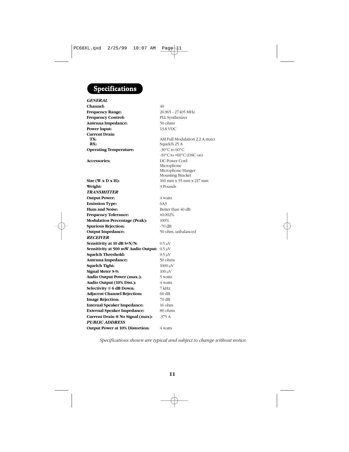# Specifications

| <b>GENERAL</b>                                  |                                                                      |
|-------------------------------------------------|----------------------------------------------------------------------|
| Channel:                                        | 40                                                                   |
| <b>Frequency Range:</b>                         | 26.965 - 27.405 MHz                                                  |
| <b>Frequency Control:</b>                       | PLL Synthesizer                                                      |
| Antenna Impedance:                              | 50 ohms                                                              |
| Power Input:                                    | 13.8 VDC                                                             |
| <b>Current Drain</b><br>TX:<br>RX:              | AM Full Modulation 2.2 A max)<br>Squelch 25 A                        |
| <b>Operating Temperature:</b>                   | -30 $^{\circ}$ C to 60 $^{\circ}$ C                                  |
|                                                 | $-10\degree$ C to $+60\degree$ C (DSC on)                            |
| <b>Accessories:</b>                             | DC Power Cord<br>Microphone<br>Microphone Hanger<br>Mounting Bracket |
| Size $(W \times D \times H)$ :                  | 160 mm x 55 mm x 217 mm                                              |
| Weight:                                         | 3 Pounds                                                             |
| <b>TRANSMITTER</b>                              |                                                                      |
| <b>Output Power:</b>                            | 4 watts                                                              |
| <b>Emission Type:</b>                           | 6A3                                                                  |
| Hum and Noise:                                  | Better than 40 dB                                                    |
| <b>Frequency Tolerance:</b>                     | ±0.002%                                                              |
| <b>Modulation Percentage (Peak):</b>            | 100%                                                                 |
| <b>Spurious Rejection:</b>                      | $-70$ dB                                                             |
| <b>Output Impedance:</b>                        | 50 ohm, unbalanced                                                   |
| <b>RECEIVER</b>                                 |                                                                      |
| Sensitivity at 10 dB S+N/N:                     | $0.5 \mu V$                                                          |
| Sensitivity at 500 mW Audio Output: $0.5 \mu$ V |                                                                      |
| <b>Squelch Threshold:</b>                       | $0.5 \mu V$                                                          |
| Antenna Impedance:                              | 50 ohms                                                              |
| Squelch Tight:                                  | $1000 \mu V$                                                         |
| Signal Meter S-9:                               | $100 \mu V$                                                          |
| Audio Output Power (max.):                      | 5 watts                                                              |
| Audio Output (10% Dist.):                       | 4 watts                                                              |
| Selectivity @ 6 dB Down:                        | 7 kHz                                                                |
| <b>Adjacent Channel Rejection:</b>              | 60 dB                                                                |
| <b>Image Rejection:</b>                         | 70 dB                                                                |
| <b>Internal Speaker Impedance:</b>              | $16$ ohm                                                             |
| <b>External Speaker Impedance:</b>              | 80 ohms                                                              |
| Current Drain @ No Signal (max):                | .375 A                                                               |
| <b>PUBLIC ADDRESS</b>                           |                                                                      |
| <b>Output Power at 10% Distortion:</b>          | 4 watts                                                              |
|                                                 |                                                                      |

*Specifications shown are typical and subject to change without notice.*

**11**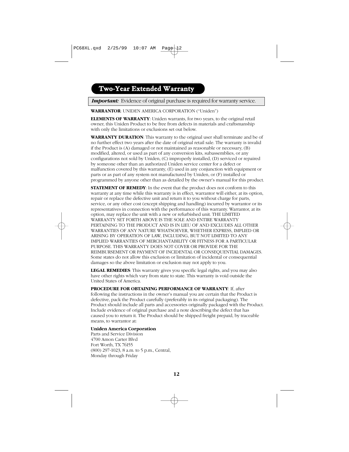# Two-Year Extended Warranty

**Important:** Evidence of original purchase is required for warranty service.

**WARRANTOR**: UNIDEN AMERICA CORPORATION ("Uniden")

**ELEMENTS OF WARRANTY**: Uniden warrants, for two years, to the original retail owner, this Uniden Product to be free from defects in materials and craftsmanship with only the limitations or exclusions set out below.

**WARRANTY DURATION**: This warranty to the original user shall terminate and be of no further effect two years after the date of original retail sale. The warranty is invalid if the Product is (A) damaged or not maintained as reasonable or necessary, (B) modified, altered, or used as part of any conversion kits, subassemblies, or any configurations not sold by Uniden, (C) improperly installed, (D) serviced or repaired by someone other than an authorized Uniden service center for a defect or malfunction covered by this warranty, (E) used in any conjunction with equipment or parts or as part of any system not manufactured by Uniden, or (F) installed or programmed by anyone other than as detailed by the owner's manual for this product.

**STATEMENT OF REMEDY**: In the event that the product does not conform to this warranty at any time while this warranty is in effect, warrantor will either, at its option, repair or replace the defective unit and return it to you without charge for parts, service, or any other cost (except shipping and handling) incurred by warrantor or its representatives in connection with the performance of this warranty. Warrantor, at its option, may replace the unit with a new or refurbished unit. THE LIMITED WARRANTY SET FORTH ABOVE IS THE SOLE AND ENTIRE WARRANTY PERTAINING TO THE PRODUCT AND IS IN LIEU OF AND EXCLUDES ALL OTHER WARRANTIES OF ANY NATURE WHATSOEVER, WHETHER EXPRESS, IMPLIED OR ARISING BY OPERATION OF LAW, INCLUDING, BUT NOT LIMITED TO ANY IMPLIED WARRANTIES OF MERCHANTABILITY OR FITNESS FOR A PARTICULAR PURPOSE. THIS WARRANTY DOES NOT COVER OR PROVIDE FOR THE REIMBURSEMENT OR PAYMENT OF INCIDENTAL OR CONSEQUENTIAL DAMAGES. Some states do not allow this exclusion or limitation of incidental or consequential damages so the above limitation or exclusion may not apply to you.

**LEGAL REMEDIES**: This warranty gives you specific legal rights, and you may also have other rights which vary from state to state. This warranty is void outside the United States of America.

**PROCEDURE FOR OBTAINING PERFORMANCE OF WARRANTY**: If, after following the instructions in the owner's manual you are certain that the Product is defective, pack the Product carefully (preferably in its original packaging). The Product should include all parts and accessories originally packaged with the Product. Include evidence of original purchase and a note describing the defect that has caused you to return it. The Product should be shipped freight prepaid, by traceable means, to warrantor at:

#### **Uniden America Corporation**

Parts and Service Division 4700 Amon Carter Blvd Fort Worth, TX 76155 (800) 297-1023, 8 a.m. to 5 p.m., Central, Monday through Friday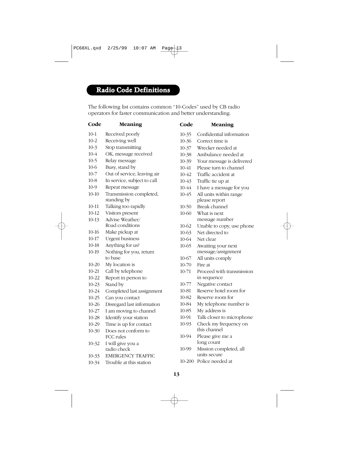# Radio Code Definitions

The following list contains common "10-Codes" used by CB radio operators for faster communication and better understanding.

#### **Code Meaning Code Meaning**

- 10-1 Received poorly
- 10-2 Receiving well
- 10-3 Stop transmitting
- 10-4 OK, message received
- 10-5 Relay message
- 10-6 Busy, stand by
- 10-7 Out of service, leaving air
- 10-8 In service, subject to call
- 10-9 Repeat message
- 10-10 Transmission completed, standing by
- 10-11 Talking too rapidly
- 10-12 Visitors present
- 10-13 Advise Weather/
- Road conditions
- 10-16 Make pickup at
- 10-17 Urgent business
- 10-18 Anything for us?
- 10-19 Nothing for you, return to base
- 10-20 My location is
- 10-21 Call by telephone
- 10-22 Report in person to
- 10-23 Stand by
- 10-24 Completed last assignment
- 10-25 Can you contact
- 10-26 Disregard last information
- 10-27 I am moving to channel
- 10-28 Identify your station
- 10-29 Time is up for contact
- 10-30 Does not conform to FCC rules
- 10-32 I will give you a radio check
- 10-33 EMERGENCY TRAFFIC
- 10-34 Trouble at this station
- 10-35 Confidential information 10-36 Correct time is 10-37 Wrecker needed at 10-38 Ambulance needed at 10-39 Your message is delivered 10-41 Please turn to channel 10-42 Traffic accident at 10-43 Traffic tie up at 10-44 I have a message for you 10-45 All units within range please report 10-50 Break channel 10-60 What is next message number 10-62 Unable to copy, use phone 10-63 Net directed to 10-64 Net clear 10-65 Awaiting your next message/assignment 10-67 All units comply 10-70 Fire at 10-71 Proceed with transmission in sequence 10-77 Negative contact 10-81 Reserve hotel room for 10-82 Reserve room for 10-84 My telephone number is 10-85 My address is 10-91 Talk closer to microphone 10-93 Check my frequency on this channel 10-94 Please give me a long count
	- 10-99 Mission completed, all units secure
	- 10-200 Police needed at